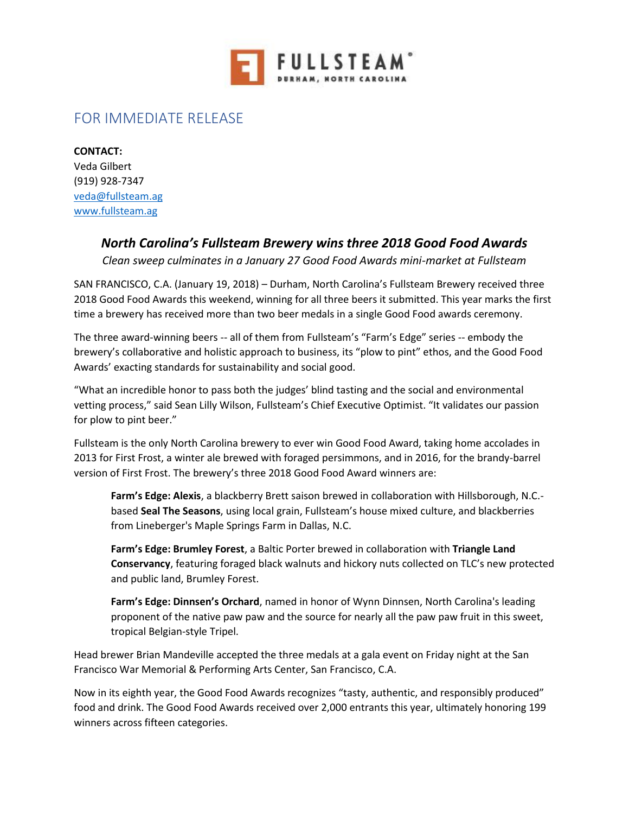

## FOR IMMEDIATE RELEASE

**CONTACT:** Veda Gilbert (919) 928-7347 [veda@fullsteam.ag](mailto:veda@fullsteam.ag) [www.fullsteam.ag](http://www.fullsteam.ag/)

## *North Carolina's Fullsteam Brewery wins three 2018 Good Food Awards*

*Clean sweep culminates in a January 27 Good Food Awards mini-market at Fullsteam*

SAN FRANCISCO, C.A. (January 19, 2018) – Durham, North Carolina's Fullsteam Brewery received three 2018 Good Food Awards this weekend, winning for all three beers it submitted. This year marks the first time a brewery has received more than two beer medals in a single Good Food awards ceremony.

The three award-winning beers -- all of them from Fullsteam's "Farm's Edge" series -- embody the brewery's collaborative and holistic approach to business, its "plow to pint" ethos, and the Good Food Awards' exacting standards for sustainability and social good.

"What an incredible honor to pass both the judges' blind tasting and the social and environmental vetting process," said Sean Lilly Wilson, Fullsteam's Chief Executive Optimist. "It validates our passion for plow to pint beer."

Fullsteam is the only North Carolina brewery to ever win Good Food Award, taking home accolades in 2013 for First Frost, a winter ale brewed with foraged persimmons, and in 2016, for the brandy-barrel version of First Frost. The brewery's three 2018 Good Food Award winners are:

**Farm's Edge: Alexis**, a blackberry Brett saison brewed in collaboration with Hillsborough, N.C. based **Seal The Seasons**, using local grain, Fullsteam's house mixed culture, and blackberries from Lineberger's Maple Springs Farm in Dallas, N.C.

**Farm's Edge: Brumley Forest**, a Baltic Porter brewed in collaboration with **Triangle Land Conservancy**, featuring foraged black walnuts and hickory nuts collected on TLC's new protected and public land, Brumley Forest.

**Farm's Edge: Dinnsen's Orchard**, named in honor of Wynn Dinnsen, North Carolina's leading proponent of the native paw paw and the source for nearly all the paw paw fruit in this sweet, tropical Belgian-style Tripel.

Head brewer Brian Mandeville accepted the three medals at a gala event on Friday night at the San Francisco War Memorial & Performing Arts Center, San Francisco, C.A.

Now in its eighth year, the Good Food Awards recognizes "tasty, authentic, and responsibly produced" food and drink. The Good Food Awards received over 2,000 entrants this year, ultimately honoring 199 winners across fifteen categories.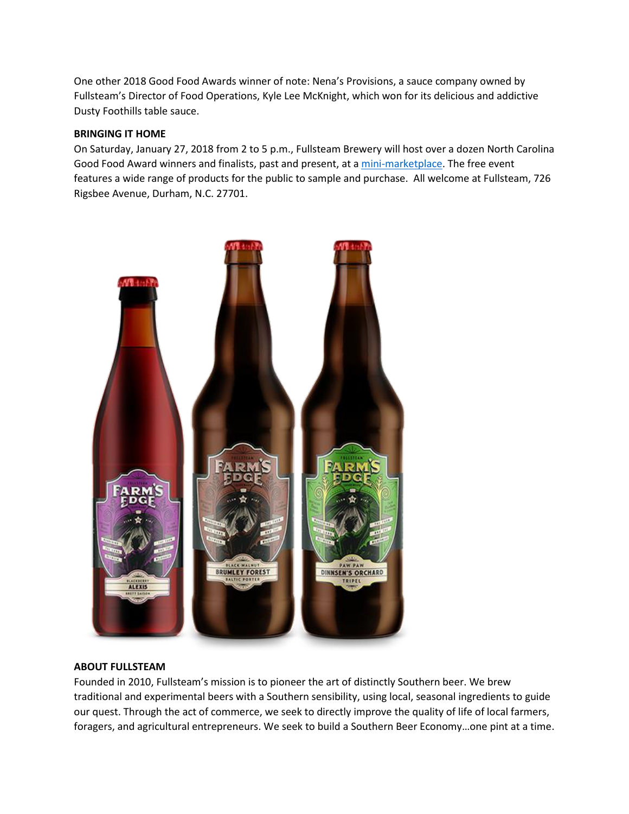One other 2018 Good Food Awards winner of note: Nena's Provisions, a sauce company owned by Fullsteam's Director of Food Operations, Kyle Lee McKnight, which won for its delicious and addictive Dusty Foothills table sauce.

## **BRINGING IT HOME**

On Saturday, January 27, 2018 from 2 to 5 p.m., Fullsteam Brewery will host over a dozen North Carolina Good Food Award winners and finalists, past and present, at a [mini-marketplace.](https://www.facebook.com/events/1971402769848613/) The free event features a wide range of products for the public to sample and purchase. All welcome at Fullsteam, 726 Rigsbee Avenue, Durham, N.C. 27701.



## **ABOUT FULLSTEAM**

Founded in 2010, Fullsteam's mission is to pioneer the art of distinctly Southern beer. We brew traditional and experimental beers with a Southern sensibility, using local, seasonal ingredients to guide our quest. Through the act of commerce, we seek to directly improve the quality of life of local farmers, foragers, and agricultural entrepreneurs. We seek to build a Southern Beer Economy…one pint at a time.